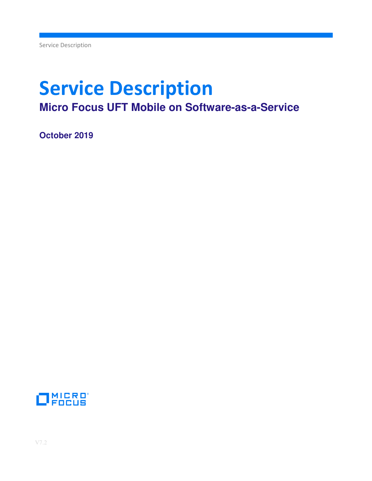# **Service Description Micro Focus UFT Mobile on Software-as-a-Service**

**October 2019** 

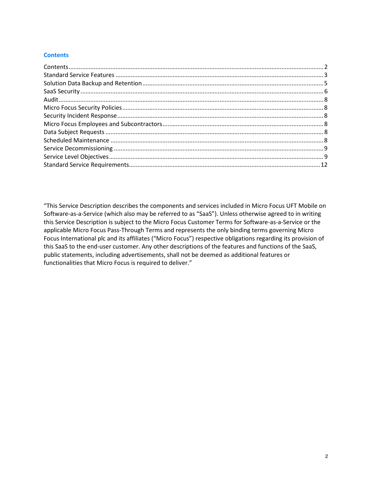## **Contents**

"This Service Description describes the components and services included in Micro Focus UFT Mobile on Software-as-a-Service (which also may be referred to as "SaaS"). Unless otherwise agreed to in writing this Service Description is subject to the Micro Focus Customer Terms for Software-as-a-Service or the applicable Micro Focus Pass-Through Terms and represents the only binding terms governing Micro Focus International plc and its affiliates ("Micro Focus") respective obligations regarding its provision of this SaaS to the end-user customer. Any other descriptions of the features and functions of the SaaS, public statements, including advertisements, shall not be deemed as additional features or functionalities that Micro Focus is required to deliver."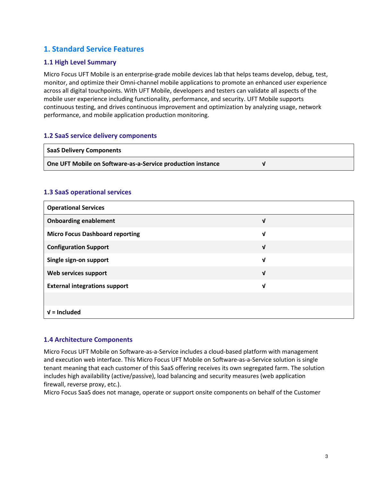# **1. Standard Service Features**

# **1.1 High Level Summary**

Micro Focus UFT Mobile is an enterprise-grade mobile devices lab that helps teams develop, debug, test, monitor, and optimize their Omni-channel mobile applications to promote an enhanced user experience across all digital touchpoints. With UFT Mobile, developers and testers can validate all aspects of the mobile user experience including functionality, performance, and security. UFT Mobile supports continuous testing, and drives continuous improvement and optimization by analyzing usage, network performance, and mobile application production monitoring.

## **1.2 SaaS service delivery components**

| <b>SaaS Delivery Components</b>                             |  |
|-------------------------------------------------------------|--|
| One UFT Mobile on Software-as-a-Service production instance |  |

## **1.3 SaaS operational services**

| <b>Operational Services</b>            |   |
|----------------------------------------|---|
| <b>Onboarding enablement</b>           | V |
| <b>Micro Focus Dashboard reporting</b> | V |
| <b>Configuration Support</b>           | V |
| Single sign-on support                 | V |
| Web services support                   | ν |
| <b>External integrations support</b>   | V |
|                                        |   |
| $V =$ Included                         |   |

## **1.4 Architecture Components**

Micro Focus UFT Mobile on Software-as-a-Service includes a cloud-based platform with management and execution web interface. This Micro Focus UFT Mobile on Software-as-a-Service solution is single tenant meaning that each customer of this SaaS offering receives its own segregated farm. The solution includes high availability (active/passive), load balancing and security measures (web application firewall, reverse proxy, etc.).

Micro Focus SaaS does not manage, operate or support onsite components on behalf of the Customer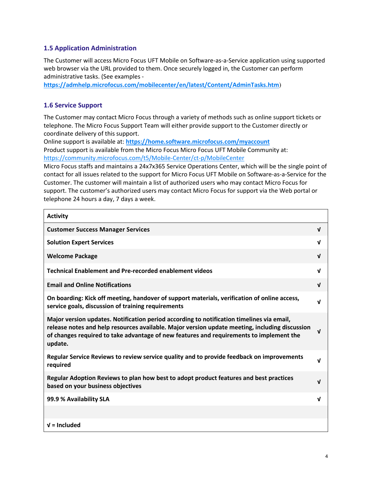# **1.5 Application Administration**

The Customer will access Micro Focus UFT Mobile on Software-as-a-Service application using supported web browser via the URL provided to them. Once securely logged in, the Customer can perform administrative tasks. (See examples -

**https://admhelp.microfocus.com/mobilecenter/en/latest/Content/AdminTasks.htm**)

# **1.6 Service Support**

The Customer may contact Micro Focus through a variety of methods such as online support tickets or telephone. The Micro Focus Support Team will either provide support to the Customer directly or coordinate delivery of this support.

Online support is available at: **https://home.software.microfocus.com/myaccount** Product support is available from the Micro Focus Micro Focus UFT Mobile Community at: https://community.microfocus.com/t5/Mobile-Center/ct-p/MobileCenter

Micro Focus staffs and maintains a 24x7x365 Service Operations Center, which will be the single point of contact for all issues related to the support for Micro Focus UFT Mobile on Software-as-a-Service for the Customer. The customer will maintain a list of authorized users who may contact Micro Focus for support. The customer's authorized users may contact Micro Focus for support via the Web portal or telephone 24 hours a day, 7 days a week.

| <b>Activity</b>                                                                                                                                                                                                                                                                                   |              |
|---------------------------------------------------------------------------------------------------------------------------------------------------------------------------------------------------------------------------------------------------------------------------------------------------|--------------|
| <b>Customer Success Manager Services</b>                                                                                                                                                                                                                                                          | $\mathbf{v}$ |
| <b>Solution Expert Services</b>                                                                                                                                                                                                                                                                   | $\mathbf{v}$ |
| <b>Welcome Package</b>                                                                                                                                                                                                                                                                            | $\mathbf{V}$ |
| <b>Technical Enablement and Pre-recorded enablement videos</b>                                                                                                                                                                                                                                    | $\mathbf{v}$ |
| <b>Email and Online Notifications</b>                                                                                                                                                                                                                                                             | $\mathbf{V}$ |
| On boarding: Kick off meeting, handover of support materials, verification of online access,<br>service goals, discussion of training requirements                                                                                                                                                | V            |
| Major version updates. Notification period according to notification timelines via email,<br>release notes and help resources available. Major version update meeting, including discussion<br>of changes required to take advantage of new features and requirements to implement the<br>update. | $\mathbf{v}$ |
| Regular Service Reviews to review service quality and to provide feedback on improvements<br>required                                                                                                                                                                                             | V            |
| Regular Adoption Reviews to plan how best to adopt product features and best practices<br>based on your business objectives                                                                                                                                                                       | $\mathbf{v}$ |
| 99.9 % Availability SLA                                                                                                                                                                                                                                                                           | V            |
|                                                                                                                                                                                                                                                                                                   |              |
| $V =$ Included                                                                                                                                                                                                                                                                                    |              |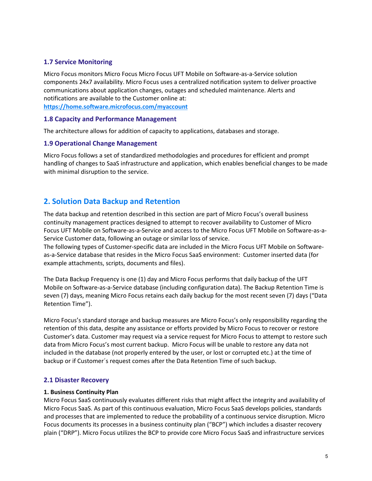# **1.7 Service Monitoring**

Micro Focus monitors Micro Focus Micro Focus UFT Mobile on Software-as-a-Service solution components 24x7 availability. Micro Focus uses a centralized notification system to deliver proactive communications about application changes, outages and scheduled maintenance. Alerts and notifications are available to the Customer online at: **https://home.software.microfocus.com/myaccount**

#### **1.8 Capacity and Performance Management**

The architecture allows for addition of capacity to applications, databases and storage.

#### **1.9 Operational Change Management**

Micro Focus follows a set of standardized methodologies and procedures for efficient and prompt handling of changes to SaaS infrastructure and application, which enables beneficial changes to be made with minimal disruption to the service.

# **2. Solution Data Backup and Retention**

The data backup and retention described in this section are part of Micro Focus's overall business continuity management practices designed to attempt to recover availability to Customer of Micro Focus UFT Mobile on Software-as-a-Service and access to the Micro Focus UFT Mobile on Software-as-a-Service Customer data, following an outage or similar loss of service.

The following types of Customer-specific data are included in the Micro Focus UFT Mobile on Softwareas-a-Service database that resides in the Micro Focus SaaS environment: Customer inserted data (for example attachments, scripts, documents and files).

The Data Backup Frequency is one (1) day and Micro Focus performs that daily backup of the UFT Mobile on Software-as-a-Service database (including configuration data). The Backup Retention Time is seven (7) days, meaning Micro Focus retains each daily backup for the most recent seven (7) days ("Data Retention Time").

Micro Focus's standard storage and backup measures are Micro Focus's only responsibility regarding the retention of this data, despite any assistance or efforts provided by Micro Focus to recover or restore Customer's data. Customer may request via a service request for Micro Focus to attempt to restore such data from Micro Focus's most current backup. Micro Focus will be unable to restore any data not included in the database (not properly entered by the user, or lost or corrupted etc.) at the time of backup or if Customer´s request comes after the Data Retention Time of such backup.

#### **2.1 Disaster Recovery**

#### **1. Business Continuity Plan**

Micro Focus SaaS continuously evaluates different risks that might affect the integrity and availability of Micro Focus SaaS. As part of this continuous evaluation, Micro Focus SaaS develops policies, standards and processes that are implemented to reduce the probability of a continuous service disruption. Micro Focus documents its processes in a business continuity plan ("BCP") which includes a disaster recovery plain ("DRP"). Micro Focus utilizes the BCP to provide core Micro Focus SaaS and infrastructure services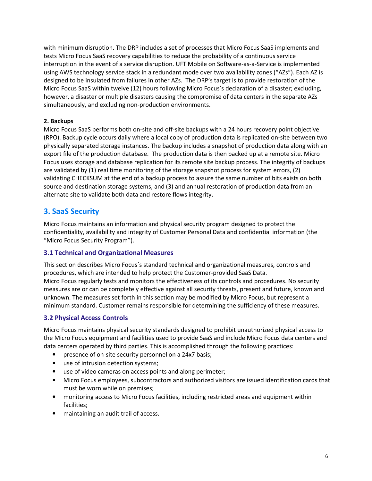with minimum disruption. The DRP includes a set of processes that Micro Focus SaaS implements and tests Micro Focus SaaS recovery capabilities to reduce the probability of a continuous service interruption in the event of a service disruption. UFT Mobile on Software-as-a-Service is implemented using AWS technology service stack in a redundant mode over two availability zones ("AZs"). Each AZ is designed to be insulated from failures in other AZs. The DRP's target is to provide restoration of the Micro Focus SaaS within twelve (12) hours following Micro Focus's declaration of a disaster; excluding, however, a disaster or multiple disasters causing the compromise of data centers in the separate AZs simultaneously, and excluding non-production environments.

## **2. Backups**

Micro Focus SaaS performs both on-site and off-site backups with a 24 hours recovery point objective (RPO). Backup cycle occurs daily where a local copy of production data is replicated on-site between two physically separated storage instances. The backup includes a snapshot of production data along with an export file of the production database. The production data is then backed up at a remote site. Micro Focus uses storage and database replication for its remote site backup process. The integrity of backups are validated by (1) real time monitoring of the storage snapshot process for system errors, (2) validating CHECKSUM at the end of a backup process to assure the same number of bits exists on both source and destination storage systems, and (3) and annual restoration of production data from an alternate site to validate both data and restore flows integrity.

# **3. SaaS Security**

Micro Focus maintains an information and physical security program designed to protect the confidentiality, availability and integrity of Customer Personal Data and confidential information (the "Micro Focus Security Program").

# **3.1 Technical and Organizational Measures**

This section describes Micro Focus´s standard technical and organizational measures, controls and procedures, which are intended to help protect the Customer-provided SaaS Data. Micro Focus regularly tests and monitors the effectiveness of its controls and procedures. No security measures are or can be completely effective against all security threats, present and future, known and unknown. The measures set forth in this section may be modified by Micro Focus, but represent a minimum standard. Customer remains responsible for determining the sufficiency of these measures.

# **3.2 Physical Access Controls**

Micro Focus maintains physical security standards designed to prohibit unauthorized physical access to the Micro Focus equipment and facilities used to provide SaaS and include Micro Focus data centers and data centers operated by third parties. This is accomplished through the following practices:

- presence of on-site security personnel on a 24x7 basis;
- use of intrusion detection systems;
- use of video cameras on access points and along perimeter;
- Micro Focus employees, subcontractors and authorized visitors are issued identification cards that must be worn while on premises;
- monitoring access to Micro Focus facilities, including restricted areas and equipment within facilities;
- maintaining an audit trail of access.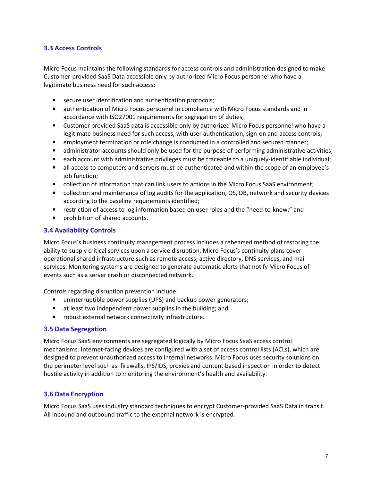# **3.3 Access Controls**

Micro Focus maintains the following standards for access controls and administration designed to make Customer-provided SaaS Data accessible only by authorized Micro Focus personnel who have a legitimate business need for such access:

- secure user identification and authentication protocols;
- authentication of Micro Focus personnel in compliance with Micro Focus standards and in accordance with ISO27001 requirements for segregation of duties;
- Customer provided SaaS data is accessible only by authorized Micro Focus personnel who have a legitimate business need for such access, with user authentication, sign-on and access controls;
- employment termination or role change is conducted in a controlled and secured manner;
- administrator accounts should only be used for the purpose of performing administrative activities;
- each account with administrative privileges must be traceable to a uniquely-identifiable individual;
- all access to computers and servers must be authenticated and within the scope of an employee's job function;
- collection of information that can link users to actions in the Micro Focus SaaS environment;
- collection and maintenance of log audits for the application, OS, DB, network and security devices according to the baseline requirements identified;
- restriction of access to log information based on user roles and the "need-to-know;" and
- prohibition of shared accounts.

## **3.4 Availability Controls**

Micro Focus´s business continuity management process includes a rehearsed method of restoring the ability to supply critical services upon a service disruption. Micro Focus's continuity plans cover operational shared infrastructure such as remote access, active directory, DNS services, and mail services. Monitoring systems are designed to generate automatic alerts that notify Micro Focus of events such as a server crash or disconnected network.

Controls regarding disruption prevention include:

- uninterruptible power supplies (UPS) and backup power generators;
- at least two independent power supplies in the building; and
- robust external network connectivity infrastructure.

## **3.5 Data Segregation**

Micro Focus SaaS environments are segregated logically by Micro Focus SaaS access control mechanisms. Internet-facing devices are configured with a set of access control lists (ACLs), which are designed to prevent unauthorized access to internal networks. Micro Focus uses security solutions on the perimeter level such as: firewalls, IPS/IDS, proxies and content based inspection in order to detect hostile activity in addition to monitoring the environment's health and availability.

## **3.6 Data Encryption**

Micro Focus SaaS uses industry standard techniques to encrypt Customer-provided SaaS Data in transit. All inbound and outbound traffic to the external network is encrypted.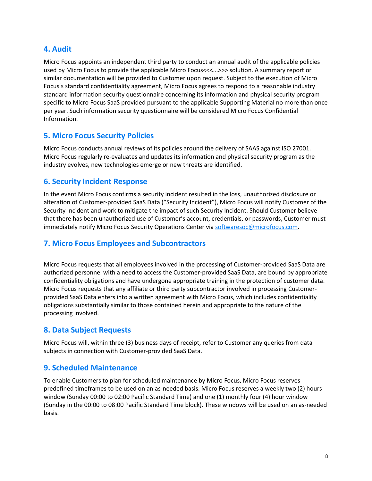# **4. Audit**

Micro Focus appoints an independent third party to conduct an annual audit of the applicable policies used by Micro Focus to provide the applicable Micro Focus<<<...>>> solution. A summary report or similar documentation will be provided to Customer upon request. Subject to the execution of Micro Focus's standard confidentiality agreement, Micro Focus agrees to respond to a reasonable industry standard information security questionnaire concerning its information and physical security program specific to Micro Focus SaaS provided pursuant to the applicable Supporting Material no more than once per year. Such information security questionnaire will be considered Micro Focus Confidential Information.

# **5. Micro Focus Security Policies**

Micro Focus conducts annual reviews of its policies around the delivery of SAAS against ISO 27001. Micro Focus regularly re-evaluates and updates its information and physical security program as the industry evolves, new technologies emerge or new threats are identified.

# **6. Security Incident Response**

In the event Micro Focus confirms a security incident resulted in the loss, unauthorized disclosure or alteration of Customer-provided SaaS Data ("Security Incident"), Micro Focus will notify Customer of the Security Incident and work to mitigate the impact of such Security Incident. Should Customer believe that there has been unauthorized use of Customer's account, credentials, or passwords, Customer must immediately notify Micro Focus Security Operations Center via softwaresoc@microfocus.com.

# **7. Micro Focus Employees and Subcontractors**

Micro Focus requests that all employees involved in the processing of Customer-provided SaaS Data are authorized personnel with a need to access the Customer-provided SaaS Data, are bound by appropriate confidentiality obligations and have undergone appropriate training in the protection of customer data. Micro Focus requests that any affiliate or third party subcontractor involved in processing Customerprovided SaaS Data enters into a written agreement with Micro Focus, which includes confidentiality obligations substantially similar to those contained herein and appropriate to the nature of the processing involved.

# **8. Data Subject Requests**

Micro Focus will, within three (3) business days of receipt, refer to Customer any queries from data subjects in connection with Customer-provided SaaS Data.

# **9. Scheduled Maintenance**

To enable Customers to plan for scheduled maintenance by Micro Focus, Micro Focus reserves predefined timeframes to be used on an as-needed basis. Micro Focus reserves a weekly two (2) hours window (Sunday 00:00 to 02:00 Pacific Standard Time) and one (1) monthly four (4) hour window (Sunday in the 00:00 to 08:00 Pacific Standard Time block). These windows will be used on an as-needed basis.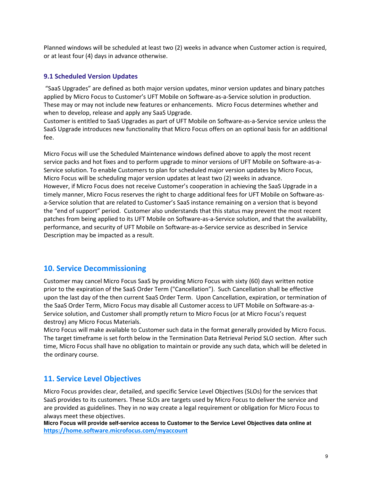Planned windows will be scheduled at least two (2) weeks in advance when Customer action is required, or at least four (4) days in advance otherwise.

## **9.1 Scheduled Version Updates**

 "SaaS Upgrades" are defined as both major version updates, minor version updates and binary patches applied by Micro Focus to Customer's UFT Mobile on Software-as-a-Service solution in production. These may or may not include new features or enhancements. Micro Focus determines whether and when to develop, release and apply any SaaS Upgrade.

Customer is entitled to SaaS Upgrades as part of UFT Mobile on Software-as-a-Service service unless the SaaS Upgrade introduces new functionality that Micro Focus offers on an optional basis for an additional fee.

Micro Focus will use the Scheduled Maintenance windows defined above to apply the most recent service packs and hot fixes and to perform upgrade to minor versions of UFT Mobile on Software-as-a-Service solution. To enable Customers to plan for scheduled major version updates by Micro Focus, Micro Focus will be scheduling major version updates at least two (2) weeks in advance. However, if Micro Focus does not receive Customer's cooperation in achieving the SaaS Upgrade in a timely manner, Micro Focus reserves the right to charge additional fees for UFT Mobile on Software-asa-Service solution that are related to Customer's SaaS instance remaining on a version that is beyond the "end of support" period. Customer also understands that this status may prevent the most recent patches from being applied to its UFT Mobile on Software-as-a-Service solution, and that the availability, performance, and security of UFT Mobile on Software-as-a-Service service as described in Service Description may be impacted as a result.

# **10. Service Decommissioning**

Customer may cancel Micro Focus SaaS by providing Micro Focus with sixty (60) days written notice prior to the expiration of the SaaS Order Term ("Cancellation"). Such Cancellation shall be effective upon the last day of the then current SaaS Order Term. Upon Cancellation, expiration, or termination of the SaaS Order Term, Micro Focus may disable all Customer access to UFT Mobile on Software-as-a-Service solution, and Customer shall promptly return to Micro Focus (or at Micro Focus's request destroy) any Micro Focus Materials.

Micro Focus will make available to Customer such data in the format generally provided by Micro Focus. The target timeframe is set forth below in the Termination Data Retrieval Period SLO section. After such time, Micro Focus shall have no obligation to maintain or provide any such data, which will be deleted in the ordinary course.

# **11. Service Level Objectives**

Micro Focus provides clear, detailed, and specific Service Level Objectives (SLOs) for the services that SaaS provides to its customers. These SLOs are targets used by Micro Focus to deliver the service and are provided as guidelines. They in no way create a legal requirement or obligation for Micro Focus to always meet these objectives.

**Micro Focus will provide self-service access to Customer to the Service Level Objectives data online at https://home.software.microfocus.com/myaccount**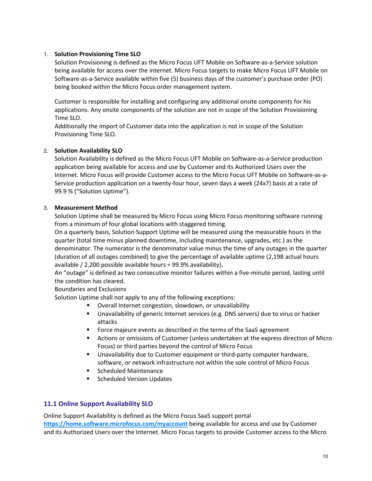## 1. **Solution Provisioning Time SLO**

Solution Provisioning is defined as the Micro Focus UFT Mobile on Software-as-a-Service solution being available for access over the internet. Micro Focus targets to make Micro Focus UFT Mobile on Software-as-a-Service available within five (5) business days of the customer's purchase order (PO) being booked within the Micro Focus order management system.

Customer is responsible for installing and configuring any additional onsite components for his applications. Any onsite components of the solution are not in scope of the Solution Provisioning Time SLO.

Additionally the import of Customer data into the application is not in scope of the Solution Provisioning Time SLO.

## 2. **Solution Availability SLO**

Solution Availability is defined as the Micro Focus UFT Mobile on Software-as-a-Service production application being available for access and use by Customer and its Authorized Users over the Internet. Micro Focus will provide Customer access to the Micro Focus UFT Mobile on Software-as-a-Service production application on a twenty-four hour, seven days a week (24x7) basis at a rate of 99.9 % ("Solution Uptime").

## 3. **Measurement Method**

Solution Uptime shall be measured by Micro Focus using Micro Focus monitoring software running from a minimum of four global locations with staggered timing.

On a quarterly basis, Solution Support Uptime will be measured using the measurable hours in the quarter (total time minus planned downtime, including maintenance, upgrades, etc.) as the denominator. The numerator is the denominator value minus the time of any outages in the quarter (duration of all outages combined) to give the percentage of available uptime (2,198 actual hours available / 2,200 possible available hours = 99.9% availability).

An "outage" is defined as two consecutive monitor failures within a five-minute period, lasting until the condition has cleared.

Boundaries and Exclusions

Solution Uptime shall not apply to any of the following exceptions:

- Overall Internet congestion, slowdown, or unavailability
- Unavailability of generic Internet services (e.g. DNS servers) due to virus or hacker attacks
- **FICT** Force majeure events as described in the terms of the SaaS agreement
- Actions or omissions of Customer (unless undertaken at the express direction of Micro Focus) or third parties beyond the control of Micro Focus
- Unavailability due to Customer equipment or third-party computer hardware, software, or network infrastructure not within the sole control of Micro Focus
- Scheduled Maintenance
- **Scheduled Version Updates**

## **11.1 Online Support Availability SLO**

Online Support Availability is defined as the Micro Focus SaaS support portal **https://home.software.microfocus.com/myaccount** being available for access and use by Customer and its Authorized Users over the Internet. Micro Focus targets to provide Customer access to the Micro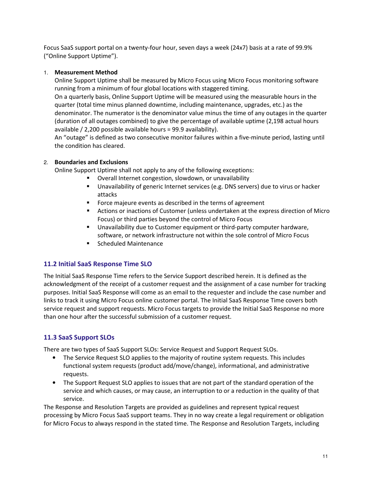Focus SaaS support portal on a twenty-four hour, seven days a week (24x7) basis at a rate of 99.9% ("Online Support Uptime").

## 1. **Measurement Method**

Online Support Uptime shall be measured by Micro Focus using Micro Focus monitoring software running from a minimum of four global locations with staggered timing.

On a quarterly basis, Online Support Uptime will be measured using the measurable hours in the quarter (total time minus planned downtime, including maintenance, upgrades, etc.) as the denominator. The numerator is the denominator value minus the time of any outages in the quarter (duration of all outages combined) to give the percentage of available uptime (2,198 actual hours available / 2,200 possible available hours = 99.9 availability).

An "outage" is defined as two consecutive monitor failures within a five-minute period, lasting until the condition has cleared.

## 2. **Boundaries and Exclusions**

Online Support Uptime shall not apply to any of the following exceptions:

- Overall Internet congestion, slowdown, or unavailability
- Unavailability of generic Internet services (e.g. DNS servers) due to virus or hacker attacks
- **Force majeure events as described in the terms of agreement**
- Actions or inactions of Customer (unless undertaken at the express direction of Micro Focus) or third parties beyond the control of Micro Focus
- **Unavailability due to Customer equipment or third-party computer hardware,** software, or network infrastructure not within the sole control of Micro Focus
- **Scheduled Maintenance**

# **11.2 Initial SaaS Response Time SLO**

The Initial SaaS Response Time refers to the Service Support described herein. It is defined as the acknowledgment of the receipt of a customer request and the assignment of a case number for tracking purposes. Initial SaaS Response will come as an email to the requester and include the case number and links to track it using Micro Focus online customer portal. The Initial SaaS Response Time covers both service request and support requests. Micro Focus targets to provide the Initial SaaS Response no more than one hour after the successful submission of a customer request.

# **11.3 SaaS Support SLOs**

There are two types of SaaS Support SLOs: Service Request and Support Request SLOs.

- The Service Request SLO applies to the majority of routine system requests. This includes functional system requests (product add/move/change), informational, and administrative requests.
- The Support Request SLO applies to issues that are not part of the standard operation of the service and which causes, or may cause, an interruption to or a reduction in the quality of that service.

The Response and Resolution Targets are provided as guidelines and represent typical request processing by Micro Focus SaaS support teams. They in no way create a legal requirement or obligation for Micro Focus to always respond in the stated time. The Response and Resolution Targets, including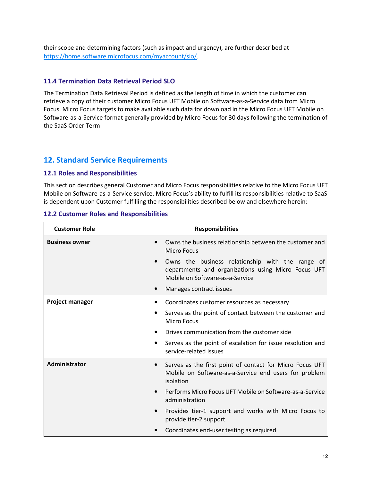their scope and determining factors (such as impact and urgency), are further described at https://home.software.microfocus.com/myaccount/slo/.

## **11.4 Termination Data Retrieval Period SLO**

The Termination Data Retrieval Period is defined as the length of time in which the customer can retrieve a copy of their customer Micro Focus UFT Mobile on Software-as-a-Service data from Micro Focus. Micro Focus targets to make available such data for download in the Micro Focus UFT Mobile on Software-as-a-Service format generally provided by Micro Focus for 30 days following the termination of the SaaS Order Term

# **12. Standard Service Requirements**

## **12.1 Roles and Responsibilities**

This section describes general Customer and Micro Focus responsibilities relative to the Micro Focus UFT Mobile on Software-as-a-Service service. Micro Focus's ability to fulfill its responsibilities relative to SaaS is dependent upon Customer fulfilling the responsibilities described below and elsewhere herein:

## **12.2 Customer Roles and Responsibilities**

| <b>Customer Role</b>               | <b>Responsibilities</b>                                                                                                                                               |
|------------------------------------|-----------------------------------------------------------------------------------------------------------------------------------------------------------------------|
| <b>Business owner</b><br>$\bullet$ | Owns the business relationship between the customer and<br><b>Micro Focus</b>                                                                                         |
| $\bullet$<br>$\bullet$             | Owns the business relationship with the range of<br>departments and organizations using Micro Focus UFT<br>Mobile on Software-as-a-Service<br>Manages contract issues |
|                                    |                                                                                                                                                                       |
| <b>Project manager</b>             | Coordinates customer resources as necessary                                                                                                                           |
| ٠                                  | Serves as the point of contact between the customer and<br><b>Micro Focus</b>                                                                                         |
|                                    | Drives communication from the customer side                                                                                                                           |
| ٠                                  | Serves as the point of escalation for issue resolution and<br>service-related issues                                                                                  |
| Administrator<br>$\bullet$         | Serves as the first point of contact for Micro Focus UFT<br>Mobile on Software-as-a-Service end users for problem<br>isolation                                        |
| $\bullet$                          | Performs Micro Focus UFT Mobile on Software-as-a-Service<br>administration                                                                                            |
| $\bullet$                          | Provides tier-1 support and works with Micro Focus to<br>provide tier-2 support                                                                                       |
|                                    | Coordinates end-user testing as required                                                                                                                              |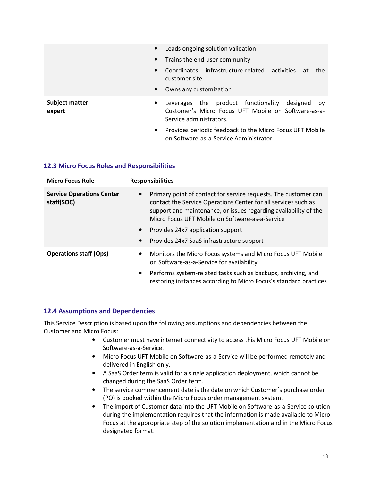|                          | $\bullet$ | Leads ongoing solution validation                                                                                                    |
|--------------------------|-----------|--------------------------------------------------------------------------------------------------------------------------------------|
|                          |           | • Trains the end-user community                                                                                                      |
|                          | $\bullet$ | Coordinates infrastructure-related activities at<br>the<br>customer site                                                             |
|                          | $\bullet$ | Owns any customization                                                                                                               |
| Subject matter<br>expert | $\bullet$ | Leverages the product functionality<br>designed by<br>Customer's Micro Focus UFT Mobile on Software-as-a-<br>Service administrators. |
|                          | $\bullet$ | Provides periodic feedback to the Micro Focus UFT Mobile<br>on Software-as-a-Service Administrator                                   |

## **12.3 Micro Focus Roles and Responsibilities**

| <b>Micro Focus Role</b>                        | <b>Responsibilities</b>                                                                                                                                                                                                                                                                                                                                                           |
|------------------------------------------------|-----------------------------------------------------------------------------------------------------------------------------------------------------------------------------------------------------------------------------------------------------------------------------------------------------------------------------------------------------------------------------------|
| <b>Service Operations Center</b><br>staff(SOC) | Primary point of contact for service requests. The customer can<br>$\bullet$<br>contact the Service Operations Center for all services such as<br>support and maintenance, or issues regarding availability of the<br>Micro Focus UFT Mobile on Software-as-a-Service<br>Provides 24x7 application support<br>$\bullet$<br>Provides 24x7 SaaS infrastructure support<br>$\bullet$ |
| <b>Operations staff (Ops)</b><br>$\bullet$     | Monitors the Micro Focus systems and Micro Focus UFT Mobile<br>on Software-as-a-Service for availability                                                                                                                                                                                                                                                                          |
|                                                | Performs system-related tasks such as backups, archiving, and<br>$\bullet$<br>restoring instances according to Micro Focus's standard practices                                                                                                                                                                                                                                   |

## **12.4 Assumptions and Dependencies**

This Service Description is based upon the following assumptions and dependencies between the Customer and Micro Focus:

- Customer must have internet connectivity to access this Micro Focus UFT Mobile on Software-as-a-Service.
- Micro Focus UFT Mobile on Software-as-a-Service will be performed remotely and delivered in English only.
- A SaaS Order term is valid for a single application deployment, which cannot be changed during the SaaS Order term.
- The service commencement date is the date on which Customer's purchase order (PO) is booked within the Micro Focus order management system.
- The import of Customer data into the UFT Mobile on Software-as-a-Service solution during the implementation requires that the information is made available to Micro Focus at the appropriate step of the solution implementation and in the Micro Focus designated format.